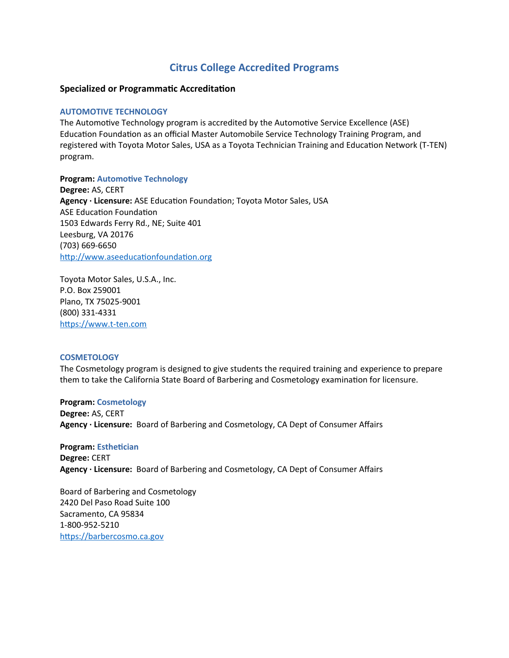# **Citrus College Accredited Programs**

# **Specialized or Programmatic Accreditation**

# **AUTOMOTIVE TECHNOLOGY**

The Automotive Technology program is accredited by the Automotive Service Excellence (ASE) Education Foundation as an official Master Automobile Service Technology Training Program, and registered with Toyota Motor Sales, USA as a Toyota Technician Training and Education Network (T-TEN) program.

**Program: Automotive Technology Degree:** AS, CERT **Agency · Licensure:** ASE Education Foundation; Toyota Motor Sales, USA ASE Education Foundation 1503 Edwards Ferry Rd., NE; Suite 401 Leesburg, VA 20176 (703) 669-6650 [http://www.aseeducationfoundation.org](http://www.aseeducationfoundation.org/)

Toyota Motor Sales, U.S.A., Inc. P.O. Box 259001 Plano, TX 75025-9001 (800) 331-4331 [https://www.t-ten.com](https://www.t-ten.com/)

## **COSMETOLOGY**

The Cosmetology program is designed to give students the required training and experience to prepare them to take the California State Board of Barbering and Cosmetology examination for licensure.

## **Program: Cosmetology**

**Degree:** AS, CERT **Agency · Licensure:** Board of Barbering and Cosmetology, CA Dept of Consumer Affairs

**Program: Esthetician Degree:** CERT **Agency · Licensure:** Board of Barbering and Cosmetology, CA Dept of Consumer Affairs

Board of Barbering and Cosmetology 2420 Del Paso Road Suite 100 Sacramento, CA 95834 1-800-952-5210 [https://barbercosmo.ca.gov](https://barbercosmo.ca.gov/)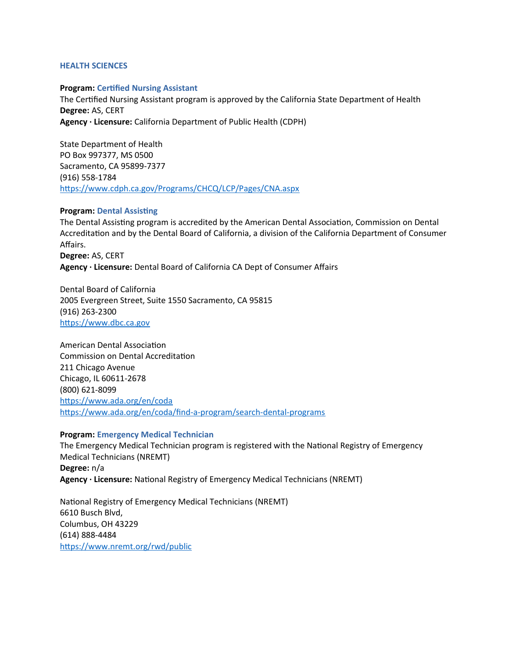#### **HEALTH SCIENCES**

#### **Program: Certified Nursing Assistant**

The Certified Nursing Assistant program is approved by the California State Department of Health **Degree:** AS, CERT **Agency · Licensure:** California Department of Public Health (CDPH)

State Department of Health PO Box 997377, MS 0500 Sacramento, CA 95899-7377 (916) 558-1784 <https://www.cdph.ca.gov/Programs/CHCQ/LCP/Pages/CNA.aspx>

#### **Program: Dental Assisting**

The Dental Assisting program is accredited by the American Dental Association, Commission on Dental Accreditation and by the Dental Board of California, a division of the California Department of Consumer Affairs. **Degree:** AS, CERT **Agency · Licensure:** Dental Board of California CA Dept of Consumer Affairs

Dental Board of California 2005 Evergreen Street, Suite 1550 Sacramento, CA 95815 (916) 263-2300 [https://www.dbc.ca.gov](https://www.dbc.ca.gov/)

American Dental Association Commission on Dental Accreditation 211 Chicago Avenue Chicago, IL 60611-2678 (800) 621-8099 <https://www.ada.org/en/coda> <https://www.ada.org/en/coda/find-a-program/search-dental-programs>

#### **Program: Emergency Medical Technician**

The Emergency Medical Technician program is registered with the National Registry of Emergency Medical Technicians (NREMT) **Degree:** n/a **Agency · Licensure:** National Registry of Emergency Medical Technicians (NREMT)

National Registry of Emergency Medical Technicians (NREMT) 6610 Busch Blvd, Columbus, OH 43229 (614) 888-4484 <https://www.nremt.org/rwd/public>